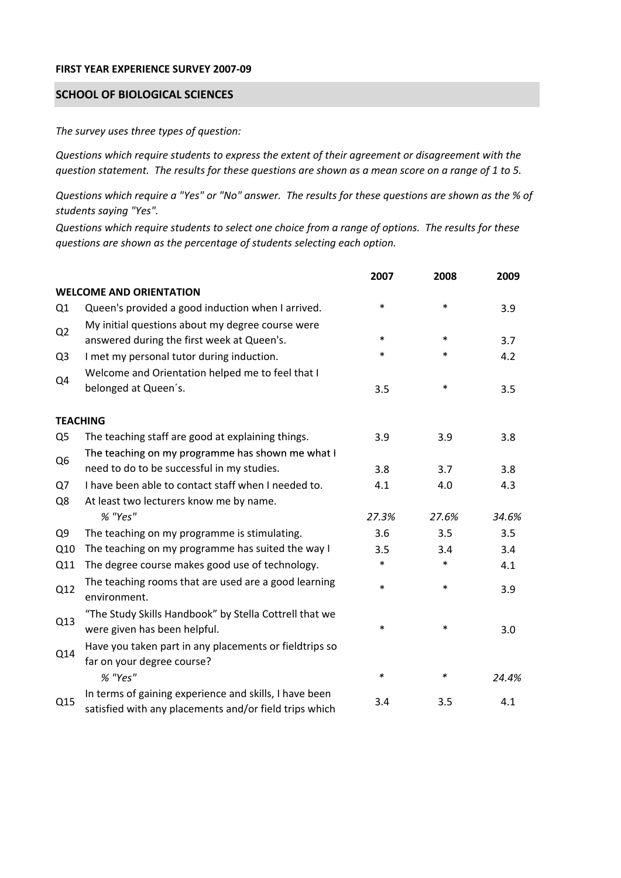## **FIRST YEAR EXPERIENCE SURVEY 2007‐09**

## **SCHOOL OF BIOLOGICAL SCIENCES**

*The survey uses three types of question:*

*Questions which require students to express the extent of their agreement or disagreement with the* question statement. The results for these questions are shown as a mean score on a range of 1 to 5.

Questions which require a "Yes" or "No" answer. The results for these questions are shown as the % of *students saying "Yes".*

Questions which require students to select one choice from a range of options. The results for these *questions are shown as the percentage of students selecting each option.*

|                |                                                                                                                  | 2007   | 2008   | 2009  |
|----------------|------------------------------------------------------------------------------------------------------------------|--------|--------|-------|
|                | <b>WELCOME AND ORIENTATION</b>                                                                                   |        |        |       |
| Q1             | Queen's provided a good induction when I arrived.                                                                | $\ast$ | $\ast$ | 3.9   |
| Q <sub>2</sub> | My initial questions about my degree course were<br>answered during the first week at Queen's.                   | $\ast$ | $\ast$ | 3.7   |
| Q <sub>3</sub> | I met my personal tutor during induction.                                                                        | $\ast$ | $\ast$ | 4.2   |
| Q4             | Welcome and Orientation helped me to feel that I<br>belonged at Queen's.                                         | 3.5    | $\ast$ | 3.5   |
|                | <b>TEACHING</b>                                                                                                  |        |        |       |
| Q <sub>5</sub> | The teaching staff are good at explaining things.                                                                | 3.9    | 3.9    | 3.8   |
|                | The teaching on my programme has shown me what I                                                                 |        |        |       |
| Q <sub>6</sub> | need to do to be successful in my studies.                                                                       | 3.8    | 3.7    | 3.8   |
| Q7             | I have been able to contact staff when I needed to.                                                              | 4.1    | 4.0    | 4.3   |
| Q8             | At least two lecturers know me by name.                                                                          |        |        |       |
|                | % "Yes"                                                                                                          | 27.3%  | 27.6%  | 34.6% |
| Q <sub>9</sub> | The teaching on my programme is stimulating.                                                                     | 3.6    | 3.5    | 3.5   |
| Q10            | The teaching on my programme has suited the way I                                                                | 3.5    | 3.4    | 3.4   |
| Q11            | The degree course makes good use of technology.                                                                  | $\ast$ | $\ast$ | 4.1   |
| Q12            | The teaching rooms that are used are a good learning<br>environment.                                             | $\ast$ | $\ast$ | 3.9   |
| Q13            | "The Study Skills Handbook" by Stella Cottrell that we<br>were given has been helpful.                           | $\ast$ | $\ast$ | 3.0   |
| Q14            | Have you taken part in any placements or fieldtrips so<br>far on your degree course?                             |        |        |       |
|                | % "Yes"                                                                                                          | $\ast$ | ∗      | 24.4% |
| Q15            | In terms of gaining experience and skills, I have been<br>satisfied with any placements and/or field trips which | 3.4    | 3.5    | 4.1   |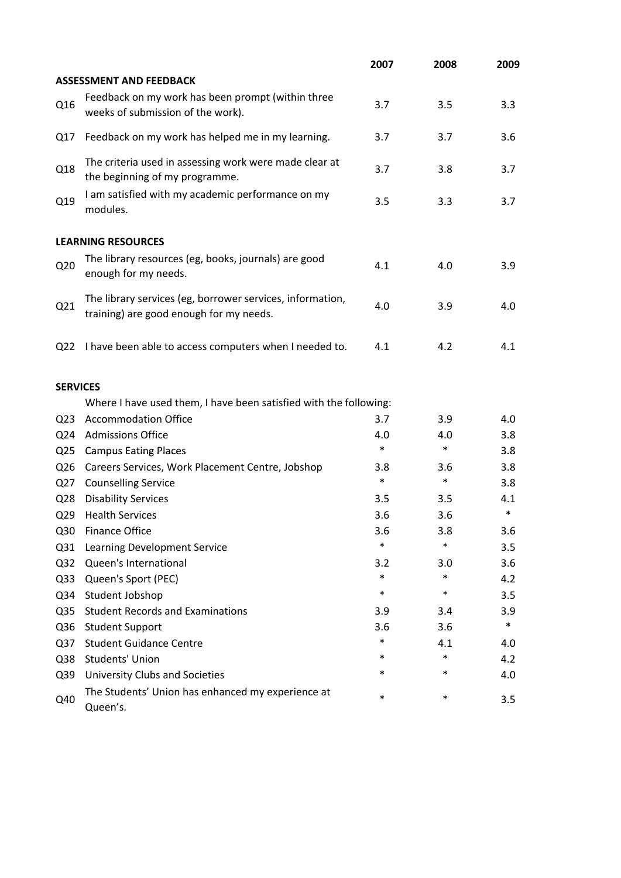|                 |                                                                                                      | 2007   | 2008   | 2009   |
|-----------------|------------------------------------------------------------------------------------------------------|--------|--------|--------|
|                 | <b>ASSESSMENT AND FEEDBACK</b>                                                                       |        |        |        |
| Q16             | Feedback on my work has been prompt (within three<br>weeks of submission of the work).               | 3.7    | 3.5    | 3.3    |
| Q17             | Feedback on my work has helped me in my learning.                                                    | 3.7    | 3.7    | 3.6    |
| Q18             | The criteria used in assessing work were made clear at<br>the beginning of my programme.             | 3.7    | 3.8    | 3.7    |
| Q19             | I am satisfied with my academic performance on my<br>modules.                                        | 3.5    | 3.3    | 3.7    |
|                 | <b>LEARNING RESOURCES</b>                                                                            |        |        |        |
| Q <sub>20</sub> | The library resources (eg, books, journals) are good<br>enough for my needs.                         | 4.1    | 4.0    | 3.9    |
| Q21             | The library services (eg, borrower services, information,<br>training) are good enough for my needs. | 4.0    | 3.9    | 4.0    |
| Q <sub>22</sub> | I have been able to access computers when I needed to.                                               | 4.1    | 4.2    | 4.1    |
| <b>SERVICES</b> |                                                                                                      |        |        |        |
|                 | Where I have used them, I have been satisfied with the following:                                    |        |        |        |
| Q <sub>23</sub> | <b>Accommodation Office</b>                                                                          | 3.7    | 3.9    | 4.0    |
| Q24             | <b>Admissions Office</b>                                                                             | 4.0    | 4.0    | 3.8    |
| Q <sub>25</sub> | <b>Campus Eating Places</b>                                                                          | $\ast$ | $\ast$ | 3.8    |
| Q26             | Careers Services, Work Placement Centre, Jobshop                                                     | 3.8    | 3.6    | 3.8    |
| Q27             | <b>Counselling Service</b>                                                                           | $\ast$ | $\ast$ | 3.8    |
| Q <sub>28</sub> | <b>Disability Services</b>                                                                           | 3.5    | 3.5    | 4.1    |
| Q <sub>29</sub> | <b>Health Services</b>                                                                               | 3.6    | 3.6    | $\ast$ |
| Q30             | <b>Finance Office</b>                                                                                | 3.6    | 3.8    | 3.6    |
| Q31             | Learning Development Service                                                                         | *      | $\ast$ | 3.5    |
| Q <sub>32</sub> | Queen's International                                                                                | 3.2    | 3.0    | 3.6    |
| Q <sub>33</sub> | Queen's Sport (PEC)                                                                                  | $\ast$ | $\ast$ | 4.2    |
| Q34             | Student Jobshop                                                                                      | $\ast$ | $\ast$ | 3.5    |
| Q <sub>35</sub> | <b>Student Records and Examinations</b>                                                              | 3.9    | 3.4    | 3.9    |
| Q36             | <b>Student Support</b>                                                                               | 3.6    | 3.6    | $\ast$ |
| Q <sub>37</sub> | <b>Student Guidance Centre</b>                                                                       | $\ast$ | 4.1    | 4.0    |
| Q38             | <b>Students' Union</b>                                                                               | *      | $\ast$ | 4.2    |
| Q39             | University Clubs and Societies                                                                       | *      | $\ast$ | 4.0    |
| Q40             | The Students' Union has enhanced my experience at<br>Queen's.                                        | *      | $\ast$ | 3.5    |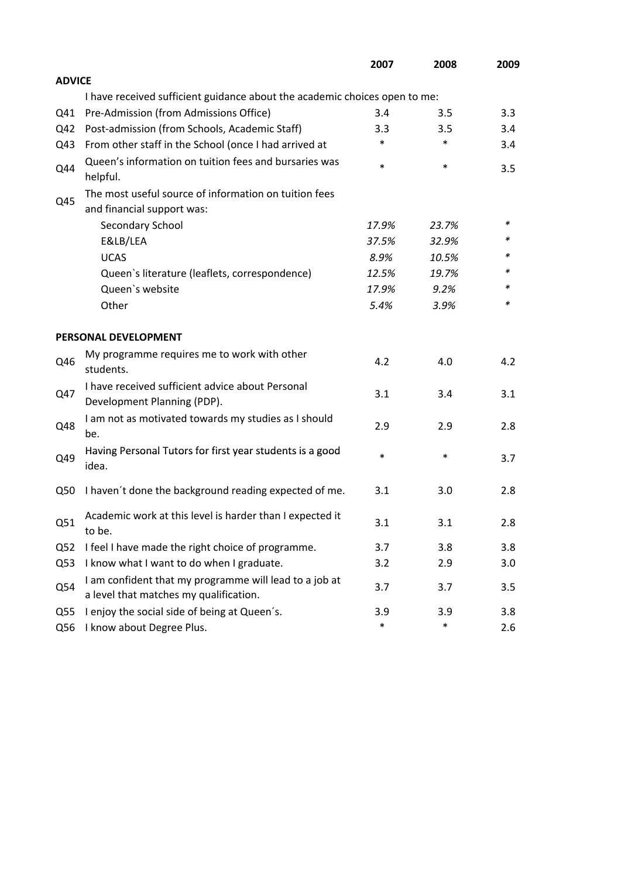|                 |                                                                                                  | 2007   | 2008   | 2009 |
|-----------------|--------------------------------------------------------------------------------------------------|--------|--------|------|
| <b>ADVICE</b>   |                                                                                                  |        |        |      |
|                 | I have received sufficient guidance about the academic choices open to me:                       |        |        |      |
| Q41             | Pre-Admission (from Admissions Office)                                                           | 3.4    | 3.5    | 3.3  |
| Q42             | Post-admission (from Schools, Academic Staff)                                                    | 3.3    | 3.5    | 3.4  |
| Q43             | From other staff in the School (once I had arrived at                                            | *      | $\ast$ | 3.4  |
| Q44             | Queen's information on tuition fees and bursaries was<br>helpful.                                | $\ast$ | $\ast$ | 3.5  |
|                 | The most useful source of information on tuition fees                                            |        |        |      |
| Q45             | and financial support was:                                                                       |        |        |      |
|                 | Secondary School                                                                                 | 17.9%  | 23.7%  | ∗    |
|                 | E&LB/LEA                                                                                         | 37.5%  | 32.9%  | *    |
|                 | <b>UCAS</b>                                                                                      | 8.9%   | 10.5%  |      |
|                 | Queen's literature (leaflets, correspondence)                                                    | 12.5%  | 19.7%  | *    |
|                 | Queen's website                                                                                  | 17.9%  | 9.2%   | *    |
|                 | Other                                                                                            | 5.4%   | 3.9%   | *    |
|                 | PERSONAL DEVELOPMENT                                                                             |        |        |      |
| Q46             | My programme requires me to work with other<br>students.                                         | 4.2    | 4.0    | 4.2  |
| Q47             | I have received sufficient advice about Personal<br>Development Planning (PDP).                  | 3.1    | 3.4    | 3.1  |
| Q48             | I am not as motivated towards my studies as I should<br>be.                                      | 2.9    | 2.9    | 2.8  |
| Q49             | Having Personal Tutors for first year students is a good<br>idea.                                | $\ast$ | $\ast$ | 3.7  |
| Q50             | I haven't done the background reading expected of me.                                            | 3.1    | 3.0    | 2.8  |
| Q51             | Academic work at this level is harder than I expected it<br>to be.                               | 3.1    | 3.1    | 2.8  |
| Q <sub>52</sub> | I feel I have made the right choice of programme.                                                | 3.7    | 3.8    | 3.8  |
| Q53             | I know what I want to do when I graduate.                                                        | 3.2    | 2.9    | 3.0  |
| Q54             | I am confident that my programme will lead to a job at<br>a level that matches my qualification. | 3.7    | 3.7    | 3.5  |
| Q <sub>55</sub> | I enjoy the social side of being at Queen's.                                                     | 3.9    | 3.9    | 3.8  |
| Q56             | I know about Degree Plus.                                                                        | $\ast$ | $\ast$ | 2.6  |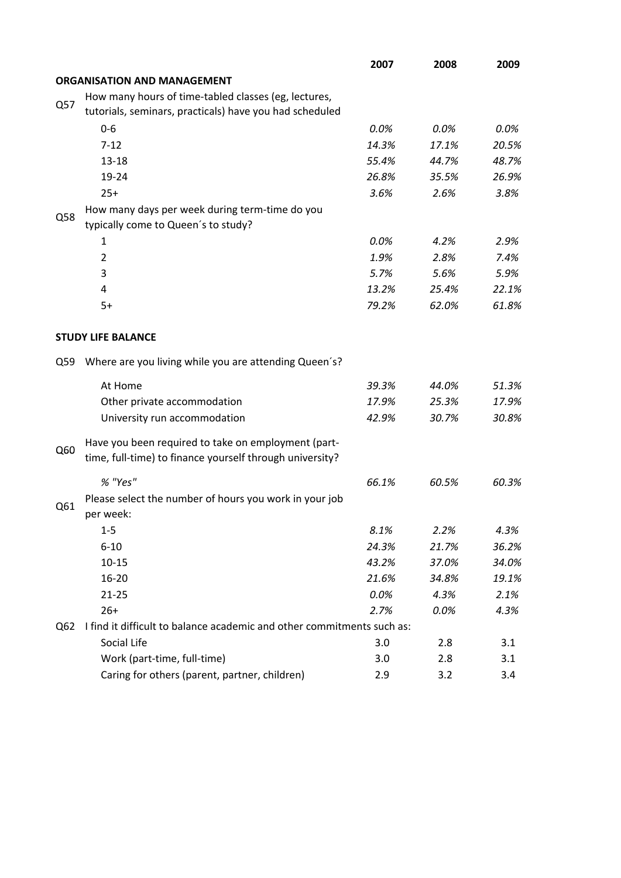|     |                                                                        | 2007  | 2008  | 2009  |
|-----|------------------------------------------------------------------------|-------|-------|-------|
|     | <b>ORGANISATION AND MANAGEMENT</b>                                     |       |       |       |
|     | How many hours of time-tabled classes (eg, lectures,                   |       |       |       |
| Q57 | tutorials, seminars, practicals) have you had scheduled                |       |       |       |
|     | $0-6$                                                                  | 0.0%  | 0.0%  | 0.0%  |
|     | $7 - 12$                                                               | 14.3% | 17.1% | 20.5% |
|     | $13 - 18$                                                              | 55.4% | 44.7% | 48.7% |
|     | 19-24                                                                  | 26.8% | 35.5% | 26.9% |
|     | $25+$                                                                  | 3.6%  | 2.6%  | 3.8%  |
|     | How many days per week during term-time do you                         |       |       |       |
| Q58 | typically come to Queen's to study?                                    |       |       |       |
|     | 1                                                                      | 0.0%  | 4.2%  | 2.9%  |
|     | $\overline{2}$                                                         | 1.9%  | 2.8%  | 7.4%  |
|     | 3                                                                      | 5.7%  | 5.6%  | 5.9%  |
|     | 4                                                                      | 13.2% | 25.4% | 22.1% |
|     | $5+$                                                                   | 79.2% | 62.0% | 61.8% |
|     |                                                                        |       |       |       |
|     | <b>STUDY LIFE BALANCE</b>                                              |       |       |       |
| Q59 | Where are you living while you are attending Queen's?                  |       |       |       |
|     | At Home                                                                | 39.3% | 44.0% | 51.3% |
|     | Other private accommodation                                            | 17.9% | 25.3% | 17.9% |
|     | University run accommodation                                           | 42.9% | 30.7% | 30.8% |
|     | Have you been required to take on employment (part-                    |       |       |       |
| Q60 | time, full-time) to finance yourself through university?               |       |       |       |
|     | % "Yes"                                                                | 66.1% | 60.5% | 60.3% |
| Q61 | Please select the number of hours you work in your job                 |       |       |       |
|     | per week:                                                              |       |       |       |
|     | $1 - 5$                                                                | 8.1%  | 2.2%  | 4.3%  |
|     | $6 - 10$                                                               | 24.3% | 21.7% | 36.2% |
|     | $10 - 15$                                                              | 43.2% | 37.0% | 34.0% |
|     | 16-20                                                                  | 21.6% | 34.8% | 19.1% |
|     | $21 - 25$                                                              | 0.0%  | 4.3%  | 2.1%  |
|     | $26+$                                                                  | 2.7%  | 0.0%  | 4.3%  |
| Q62 | I find it difficult to balance academic and other commitments such as: |       |       |       |
|     | Social Life                                                            | 3.0   | 2.8   | 3.1   |
|     | Work (part-time, full-time)                                            | 3.0   | 2.8   | 3.1   |
|     | Caring for others (parent, partner, children)                          | 2.9   | 3.2   | 3.4   |